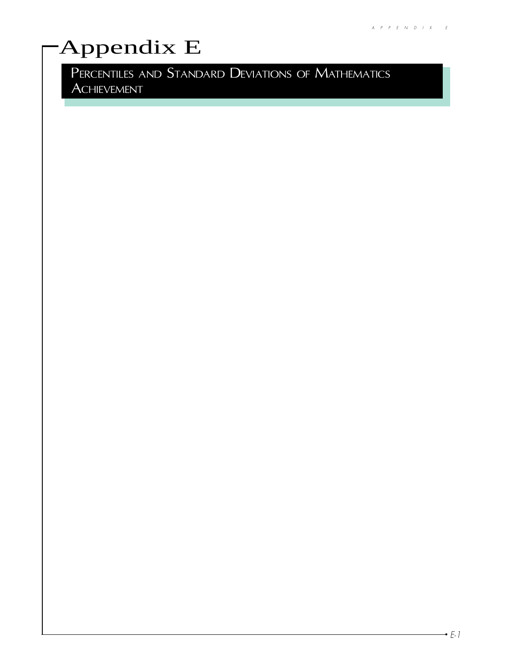# Appendix E

PERCENTILES AND STANDARD DEVIATIONS OF MATHEMATICS ACHIEVEMENT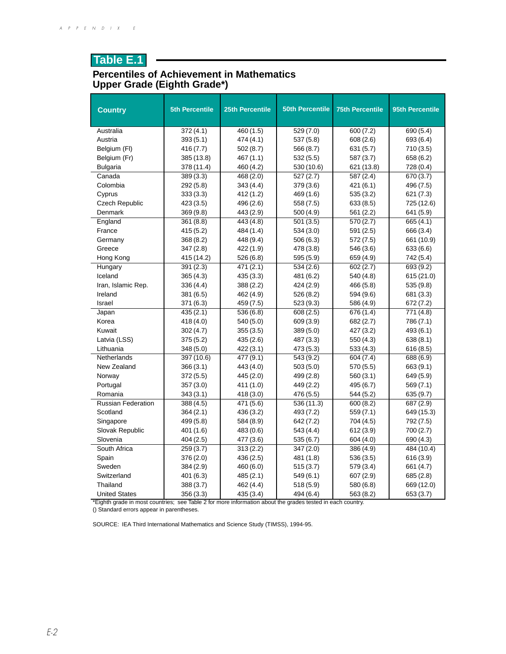#### **Percentiles of Achievement in Mathematics Upper Grade (Eighth Grade\*)**

| <b>Country</b>                                                                                             | <b>5th Percentile</b> | <b>25th Percentile</b> | <b>50th Percentile</b> | <b>75th Percentile</b> | 95th Percentile |  |  |
|------------------------------------------------------------------------------------------------------------|-----------------------|------------------------|------------------------|------------------------|-----------------|--|--|
| Australia                                                                                                  | 372(4.1)              | 460 (1.5)              | 529(7.0)               | 600(7.2)               | 690(5.4)        |  |  |
| Austria                                                                                                    | 393(5.1)              | 474 (4.1)              | 537 (5.8)              | 608(2.6)               | 693 (6.4)       |  |  |
| Belgium (FI)                                                                                               | 416 (7.7)             | 502(8.7)               | 566 (8.7)              | 631 (5.7)              | 710 (3.5)       |  |  |
| Belgium (Fr)                                                                                               | 385 (13.8)            | 467 (1.1)              | 532(5.5)               | 587 (3.7)              | 658 (6.2)       |  |  |
| <b>Bulgaria</b>                                                                                            | 378 (11.4)            | 460 (4.2)              | 530 (10.6)             | 621 (13.8)             | 728 (0.4)       |  |  |
| Canada                                                                                                     | 389 (3.3)             | 468 (2.0)              | 527(2.7)               | 587 (2.4)              | 670 (3.7)       |  |  |
| Colombia                                                                                                   | 292 (5.8)             | 343 (4.4)              | 379 (3.6)              | 421 (6.1)              | 496 (7.5)       |  |  |
| Cyprus                                                                                                     | 333(3.3)              | 412 (1.2)              | 469 (1.6)              | 535(3.2)               | 621 (7.3)       |  |  |
| <b>Czech Republic</b>                                                                                      | 423 (3.5)             | 496 (2.6)              | 558 (7.5)              | 633(8.5)               | 725 (12.6)      |  |  |
| Denmark                                                                                                    | 369 (9.8)             | 443 (2.9)              | 500(4.9)               | 561 (2.2)              | 641 (5.9)       |  |  |
| England                                                                                                    | 361 (8.8)             | 443 (4.8)              | 501(3.5)               | 570 (2.7)              | 665 (4.1)       |  |  |
| France                                                                                                     | 415 (5.2)             | 484 (1.4)              | 534 (3.0)              | 591 (2.5)              | 666 (3.4)       |  |  |
| Germany                                                                                                    | 368 (8.2)             | 448 (9.4)              | 506 (6.3)              | 572 (7.5)              | 661 (10.9)      |  |  |
| Greece                                                                                                     | 347 (2.8)             | 422 (1.9)              | 478 (3.8)              | 546 (3.6)              | 633 (6.6)       |  |  |
| Hong Kong                                                                                                  | 415 (14.2)            | 526 (6.8)              | 595 (5.9)              | 659 (4.9)              | 742 (5.4)       |  |  |
| Hungary                                                                                                    | 391(2.3)              | 471 (2.1)              | 534(2.6)               | 602(2.7)               | 693 (9.2)       |  |  |
| Iceland                                                                                                    | 365(4.3)              | 435 (3.3)              | 481 (6.2)              | 540 (4.8)              | 615 (21.0)      |  |  |
| Iran, Islamic Rep.                                                                                         | 336 (4.4)             | 388 (2.2)              | 424 (2.9)              | 466 (5.8)              | 535 (9.8)       |  |  |
| Ireland                                                                                                    | 381 (6.5)             | 462 (4.9)              | 526 (8.2)              | 594 (9.6)              | 681 (3.3)       |  |  |
| Israel                                                                                                     | 371 (6.3)             | 459 (7.5)              | 523 (9.3)              | 586 (4.9)              | 672 (7.2)       |  |  |
| Japan                                                                                                      | 435 (2.1)             | 536 (6.8)              | 608(2.5)               | 676 (1.4)              | 771 (4.8)       |  |  |
| Korea                                                                                                      | 418 (4.0)             | 540 (5.0)              | 609 (3.9)              | 682 (2.7)              | 786 (7.1)       |  |  |
| Kuwait                                                                                                     | 302(4.7)              | 355 (3.5)              | 389(5.0)               | 427 (3.2)              | 493 (6.1)       |  |  |
| Latvia (LSS)                                                                                               | 375 (5.2)             | 435 (2.6)              | 487 (3.3)              | 550 (4.3)              | 638(8.1)        |  |  |
| Lithuania                                                                                                  | 348 (5.0)             | 422 (3.1)              | 473 (5.3)              | 533(4.3)               | 616(8.5)        |  |  |
| Netherlands                                                                                                | 397(10.6)             | 477 (9.1)              | 543 (9.2)              | 604 (7.4)              | 688 (6.9)       |  |  |
| New Zealand                                                                                                | 366(3.1)              | 443 (4.0)              | 503(5.0)               | 570 (5.5)              | 663 (9.1)       |  |  |
| Norway                                                                                                     | 372 (5.5)             | 445 (2.0)              | 499 (2.8)              | 560(3.1)               | 649 (5.9)       |  |  |
| Portugal                                                                                                   | 357 (3.0)             | 411 (1.0)              | 449 (2.2)              | 495 (6.7)              | 569 (7.1)       |  |  |
| Romania                                                                                                    | 343(3.1)              | 418 (3.0)              | 476 (5.5)              | 544 (5.2)              | 635(9.7)        |  |  |
| <b>Russian Federation</b>                                                                                  | 388 (4.5)             | 471 (5.6)              | 536 (11.3)             | 600(8.2)               | 687 (2.9)       |  |  |
| Scotland                                                                                                   | 364(2.1)              | 436 (3.2)              | 493 (7.2)              | 559 (7.1)              | 649 (15.3)      |  |  |
| Singapore                                                                                                  | 499 (5.8)             | 584 (8.9)              | 642 (7.2)              | 704 (4.5)              | 792 (7.5)       |  |  |
| Slovak Republic                                                                                            | 401 (1.6)             | 483 (0.6)              | 543 (4.4)              | 612 (3.9)              | 700 (2.7)       |  |  |
| Slovenia                                                                                                   | 404(2.5)              | 477 (3.6)              | 535 (6.7)              | 604 (4.0)              | 690 (4.3)       |  |  |
| South Africa                                                                                               | 259(3.7)              | 313 (2.2)              | 347 (2.0)              | 386 (4.9)              | 484 (10.4)      |  |  |
| Spain                                                                                                      | 376 (2.0)             | 436 (2.5)              | 481 (1.8)              | 536(3.5)               | 616 (3.9)       |  |  |
| Sweden                                                                                                     | 384 (2.9)             | 460 (6.0)              | 515(3.7)               | 579 (3.4)              | 661 (4.7)       |  |  |
| Switzerland                                                                                                | 401 (6.3)             | 485 (2.1)              | 549 (6.1)              | 607 (2.9)              | 685 (2.8)       |  |  |
| Thailand                                                                                                   | 388 (3.7)             | 462 (4.4)              | 518 (5.9)              | 580 (6.8)              | 669 (12.0)      |  |  |
| <b>United States</b>                                                                                       | 356(3.3)              | 435 (3.4)              | 494 (6.4)              | 563 (8.2)              | 653 (3.7)       |  |  |
| *Eighth grade in most countries; see Table 2 for more information about the grades tested in each country. |                       |                        |                        |                        |                 |  |  |

() Standard errors appear in parentheses.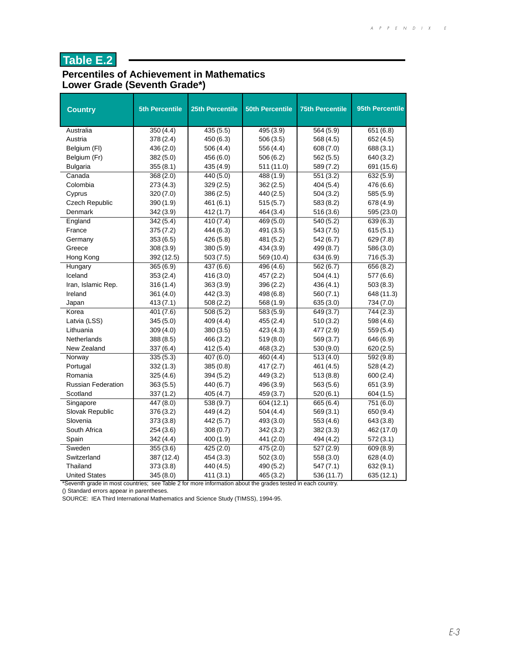#### **Percentiles of Achievement in Mathematics Lower Grade (Seventh Grade\*)**

| <b>Country</b>            | <b>5th Percentile</b> | <b>25th Percentile</b> | <b>50th Percentile</b> | <b>75th Percentile</b> | 95th Percentile |
|---------------------------|-----------------------|------------------------|------------------------|------------------------|-----------------|
| Australia                 | 350(4.4)              | 435(5.5)               | 495(3.9)               | 564(5.9)               | 651(6.8)        |
| Austria                   | 378 (2.4)             | 450 (6.3)              | 506 (3.5)              | 568 (4.5)              | 652 (4.5)       |
| Belgium (FI)              | 436 (2.0)             | 506(4.4)               | 556 (4.4)              | 608 (7.0)              | 688 (3.1)       |
| Belgium (Fr)              | 382 (5.0)             | 456 (6.0)              | 506(6.2)               | 562 (5.5)              | 640 (3.2)       |
| <b>Bulgaria</b>           | 355(8.1)              | 435 (4.9)              | 511 (11.0)             | 589 (7.2)              | 691 (15.6)      |
| Canada                    | 368(2.0)              | 440 (5.0)              | 488 (1.9)              | 551 (3.2)              | 632(5.9)        |
| Colombia                  | 273 (4.3)             | 329(2.5)               | 362 (2.5)              | 404 (5.4)              | 476 (6.6)       |
| Cyprus                    | 320(7.0)              | 386(2.5)               | 440 (2.5)              | 504(3.2)               | 585 (5.9)       |
| Czech Republic            | 390 (1.9)             | 461 (6.1)              | 515(5.7)               | 583 (8.2)              | 678 (4.9)       |
| Denmark                   | 342 (3.9)             | 412 (1.7)              | 464 (3.4)              | 516 (3.6)              | 595 (23.0)      |
| England                   | 342 (5.4)             | 410 (7.4)              | 469 (5.0)              | 540 (5.2)              | 639(6.3)        |
| France                    | 375(7.2)              | 444 (6.3)              | 491 (3.5)              | 543 (7.5)              | 615(5.1)        |
| Germany                   | 353(6.5)              | 426 (5.8)              | 481 (5.2)              | 542 (6.7)              | 629 (7.8)       |
| Greece                    | 308 (3.9)             | 380 (5.9)              | 434 (3.9)              | 499 (8.7)              | 586 (3.0)       |
| Hong Kong                 | 392 (12.5)            | 503(7.5)               | 569 (10.4)             | 634(6.9)               | 716(5.3)        |
| Hungary                   | 365(6.9)              | 437 (6.6)              | 496(4.6)               | 562(6.7)               | 656 (8.2)       |
| Iceland                   | 353(2.4)              | 416 (3.0)              | 457 (2.2)              | 504(4.1)               | 577 (6.6)       |
| Iran, Islamic Rep.        | 316 (1.4)             | 363 (3.9)              | 396 (2.2)              | 436 (4.1)              | 503(8.3)        |
| Ireland                   | 361 (4.0)             | 442 (3.3)              | 498 (6.8)              | 560 (7.1)              | 648 (11.3)      |
| Japan                     | 413(7.1)              | 508(2.2)               | 568 (1.9)              | 635 (3.0)              | 734 (7.0)       |
| Korea                     | 401 (7.6)             | 508 (5.2)              | 583 (5.9)              | 649 (3.7)              | 744 (2.3)       |
| Latvia (LSS)              | 345 (5.0)             | 409 (4.4)              | 455 (2.4)              | 510(3.2)               | 598 (4.6)       |
| Lithuania                 | 309(4.0)              | 380(3.5)               | 423 (4.3)              | 477 (2.9)              | 559(5.4)        |
| Netherlands               | 388 (8.5)             | 466 (3.2)              | 519(8.0)               | 569 (3.7)              | 646 (6.9)       |
| New Zealand               | 337 (6.4)             | 412 (5.4)              | 468 (3.2)              | 530 (9.0)              | 620 (2.5)       |
| Norway                    | 335(5.3)              | 407 (6.0)              | 460 (4.4)              | 513(4.0)               | 592 (9.8)       |
| Portugal                  | 332(1.3)              | 385(0.8)               | 417 (2.7)              | 461 (4.5)              | 528 (4.2)       |
| Romania                   | 325 (4.6)             | 394(5.2)               | 449 (3.2)              | 513(8.8)               | 600(2.4)        |
| <b>Russian Federation</b> | 363(5.5)              | 440 (6.7)              | 496 (3.9)              | 563 (5.6)              | 651 (3.9)       |
| Scotland                  | 337 (1.2)             | 405 (4.7)              | 459 (3.7)              | 520(6.1)               | 604 (1.5)       |
| Singapore                 | 447 (8.0)             | 538(9.7)               | 604 (12.1)             | 665 (6.4)              | 751 (6.0)       |
| Slovak Republic           | 376 (3.2)             | 449 (4.2)              | 504(4.4)               | 569 (3.1)              | 650 (9.4)       |
| Slovenia                  | 373 (3.8)             | 442 (5.7)              | 493 (3.0)              | 553 (4.6)              | 643 (3.8)       |
| South Africa              | 254 (3.6)             | 308(0.7)               | 342(3.2)               | 382 (3.3)              | 462 (17.0)      |
| Spain                     | 342 (4.4)             | 400 (1.9)              | 441 (2.0)              | 494 (4.2)              | 572(3.1)        |
| Sweden                    | 355(3.6)              | 425 (2.0)              | 475 (2.0)              | 527 (2.9)              | 609 (8.9)       |
| Switzerland               | 387 (12.4)            | 454 (3.3)              | 502(3.0)               | 558 (3.0)              | 628 (4.0)       |
| Thailand                  | 373(3.8)              | 440 (4.5)              | 490 (5.2)              | 547 (7.1)              | 632 (9.1)       |
| <b>United States</b>      | 345 (8.0)             | 411 (3.1)              | 465 (3.2)              | 536 (11.7)             | 635 (12.1)      |

\*Seventh grade in most countries; see Table 2 for more information about the grades tested in each country.

() Standard errors appear in parentheses.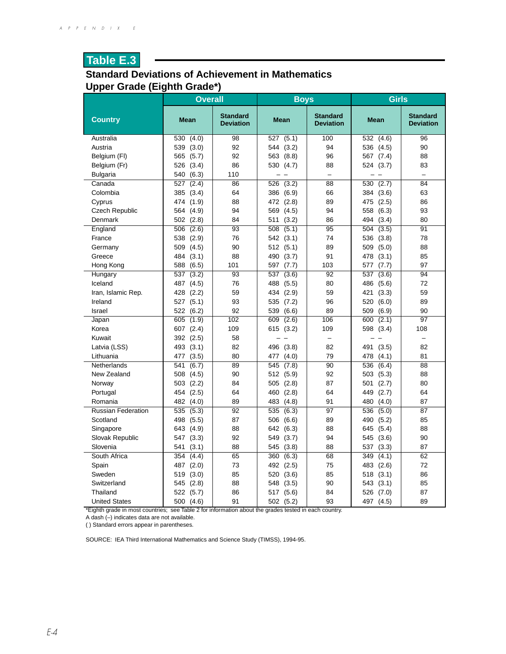#### **Standard Deviations of Achievement in Mathematics Upper Grade (Eighth Grade\*)**

|                           | <b>Overall</b> |                                     | <b>Boys</b>    |                                     | Girls        |                                     |
|---------------------------|----------------|-------------------------------------|----------------|-------------------------------------|--------------|-------------------------------------|
| <b>Country</b>            | <b>Mean</b>    | <b>Standard</b><br><b>Deviation</b> | Mean           | <b>Standard</b><br><b>Deviation</b> | Mean         | <b>Standard</b><br><b>Deviation</b> |
| Australia                 | 530<br>(4.0)   | 98                                  | 527<br>(5.1)   | 100                                 | 532 (4.6)    | 96                                  |
| Austria                   | 539<br>(3.0)   | 92                                  | 544 (3.2)      | 94                                  | 536 (4.5)    | 90                                  |
| Belgium (FI)              | 565<br>(5.7)   | 92                                  | 563 (8.8)      | 96                                  | 567 (7.4)    | 88                                  |
| Belgium (Fr)              | 526 (3.4)      | 86                                  | 530 (4.7)      | 88                                  | 524 (3.7)    | 83                                  |
| <b>Bulgaria</b>           | (6.3)<br>540   | 110                                 | $\overline{a}$ | L.                                  |              | $\equiv$                            |
| Canada                    | 527<br>(2.4)   | 86                                  | 526 (3.2)      | $\overline{88}$                     | 530 (2.7)    | 84                                  |
| Colombia                  | 385 (3.4)      | 64                                  | 386 (6.9)      | 66                                  | 384 (3.6)    | 63                                  |
| Cyprus                    | 474<br>(1.9)   | 88                                  | 472 (2.8)      | 89                                  | 475 (2.5)    | 86                                  |
| <b>Czech Republic</b>     | 564 (4.9)      | 94                                  | 569 (4.5)      | 94                                  | 558<br>(6.3) | 93                                  |
| Denmark                   | 502 (2.8)      | 84                                  | (3.2)<br>511   | 86                                  | (3.4)<br>494 | 80                                  |
| England                   | 506 (2.6)      | 93                                  | 508<br>(5.1)   | 95                                  | 504<br>(3.5) | 91                                  |
| France                    | 538<br>(2.9)   | 76                                  | 542 (3.1)      | 74                                  | 536 (3.8)    | 78                                  |
| Germany                   | 509<br>(4.5)   | 90                                  | 512 (5.1)      | 89                                  | 509<br>(5.0) | 88                                  |
| Greece                    | 484<br>(3.1)   | 88                                  | 490<br>(3.7)   | 91                                  | 478<br>(3.1) | 85                                  |
| Hong Kong                 | 588 (6.5)      | 101                                 | 597 (7.7)      | 103                                 | 577 (7.7)    | 97                                  |
| Hungary                   | 537<br>(3.2)   | 93                                  | 537<br>(3.6)   | 92                                  | 537<br>(3.6) | 94                                  |
| Iceland                   | 487<br>(4.5)   | 76                                  | 488 (5.5)      | 80                                  | 486<br>(5.6) | 72                                  |
| Iran, Islamic Rep.        | 428 (2.2)      | 59                                  | 434 (2.9)      | 59                                  | (3.3)<br>421 | 59                                  |
| Ireland                   | 527 (5.1)      | 93                                  | 535 (7.2)      | 96                                  | 520<br>(6.0) | 89                                  |
| Israel                    | (6.2)<br>522   | 92                                  | 539 (6.6)      | 89                                  | 509 (6.9)    | 90                                  |
| Japan                     | 605<br>(1.9)   | 102                                 | 609<br>(2.6)   | 106                                 | 600<br>(2.1) | $\overline{97}$                     |
| Korea                     | 607 (2.4)      | 109                                 | 615 (3.2)      | 109                                 | 598 (3.4)    | 108                                 |
| Kuwait                    | 392<br>(2.5)   | 58                                  |                | —                                   |              |                                     |
| Latvia (LSS)              | (3.1)<br>493   | 82                                  | 496 (3.8)      | 82                                  | 491<br>(3.5) | 82                                  |
| Lithuania                 | (3.5)<br>477   | 80                                  | 477 (4.0)      | 79                                  | 478 (4.1)    | 81                                  |
| Netherlands               | 541<br>(6.7)   | 89                                  | 545 (7.8)      | 90                                  | 536<br>(6.4) | 88                                  |
| New Zealand               | 508 (4.5)      | 90                                  | 512 (5.9)      | 92                                  | 503 (5.3)    | 88                                  |
| Norway                    | 503 (2.2)      | 84                                  | 505 (2.8)      | 87                                  | 501<br>(2.7) | 80                                  |
| Portugal                  | (2.5)<br>454   | 64                                  | 460 (2.8)      | 64                                  | 449 (2.7)    | 64                                  |
| Romania                   | 482 (4.0)      | 89                                  | 483 (4.8)      | 91                                  | 480 (4.0)    | 87                                  |
| <b>Russian Federation</b> | 535<br>(5.3)   | 92                                  | 535<br>(6.3)   | 97                                  | 536<br>(5.0) | 87                                  |
| Scotland                  | 498 (5.5)      | 87                                  | 506 (6.6)      | 89                                  | 490 (5.2)    | 85                                  |
| Singapore                 | 643<br>(4.9)   | 88                                  | 642 (6.3)      | 88                                  | 645 (5.4)    | 88                                  |
| Slovak Republic           | 547 (3.3)      | 92                                  | 549 (3.7)      | 94                                  | 545<br>(3.6) | 90                                  |
| Slovenia                  | 541 (3.1)      | 88                                  | 545 (3.8)      | 88                                  | (3.3)<br>537 | 87                                  |
| South Africa              | 354<br>(4.4)   | 65                                  | 360 (6.3)      | 68                                  | 349<br>(4.1) | 62                                  |
| Spain                     | (2.0)<br>487   | 73                                  | 492 (2.5)      | 75                                  | 483 (2.6)    | 72                                  |
| Sweden                    | 519<br>(3.0)   | 85                                  | 520 (3.6)      | 85                                  | 518 (3.1)    | 86                                  |
| Switzerland               | 545 (2.8)      | 88                                  | 548 (3.5)      | 90                                  | 543 (3.1)    | 85                                  |
| Thailand                  | 522<br>(5.7)   | 86                                  | 517 (5.6)      | 84                                  | 526<br>(7.0) | 87                                  |
| <b>United States</b>      | 500<br>(4.6)   | 91                                  | 502 (5.2)      | 93                                  | 497 (4.5)    | 89                                  |

\*Eighth grade in most countries; see Table 2 for information about the grades tested in each country.

A dash (–) indicates data are not available.

( ) Standard errors appear in parentheses.